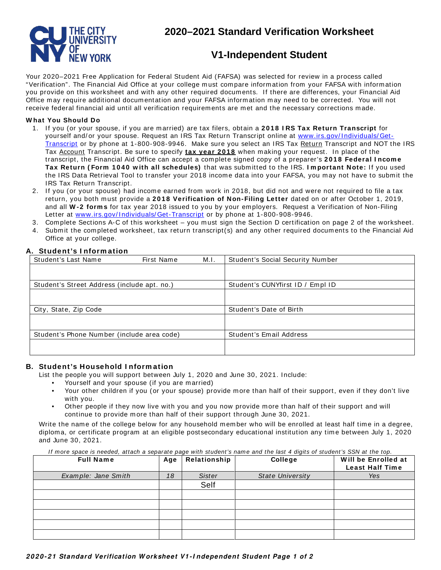

# **Standard Verification Worksheet<br><b>/1-Independent Student**<br>(FAFSA) was selected for review in a process called of the selected for review in a process called of the selected for  $\frac{1}{2}$ **2020–2021 Standard Verification Worksheet**

# **V1-Independent Student**

**d**<br>cial Aid<br>ill not Your 2020–2021 Free Application for Federal Student Aid (FAFSA) was selected for review in a process called "Verification". The Financial Aid Office at your college m ust com pare inform ation from your FAFSA with information you provide on this worksheet and with any other required documents. If there are differences, your Financial Aid Office m ay require additional documentation and your FAFSA inform ation m ay need to be corrected. You will not receive federal financial aid until all verification requirements are met and the necessary corrections m ade.

## **W hat You Should Do**

- <u>Transcript</u> or by phone at 1-800-908-9946. Make sure you select an IRS Tax <u>Return</u> Transcript and NOT the IRS Tax <u>Account</u> Transcript. Be sure to specify **<u>tax year 2018</u>** when making your request. In place of the the IRS Data Retrieval Tool to transfer your 2018 income data into your FAFSA, you may not have to submit the 1. If you (or your spouse, if you are m arried) are tax filers, obtain a **2 0 1 8 I RS Tax Return Transcript** for yourself and/or your spouse. Request an IRS Tax Return Transcript online at www.irs.gov/Individuals/Gettranscript, the Financial Aid Office can accept a com plete signed copy of a preparer's **2 0 1 8 Federal I ncom e** Tax Return (Form 1040 with all schedules) that was submitted to the IRS. I mportant Note: If you used IRS Tax Return Transcript.
- 2. If you (or your spouse) had income earned from work in 2018, but did not and were not required to file a tax and all **W - 2 form s** for tax year 2018 issued to you by your employers. Request a Verification of Non-Filing return, you both must provide a **2 0 1 8 Verification of Non-Filing Letter** dated on or after October 1, 2019, Letter at www.irs.gov/Individuals/Get-Transcript or by phone at 1-800-908-9946.
- 3. Com plete Sections A-C of this worksheet you m ust sign the Section D certification on page 2 of the worksheet.
- 4. Submit the completed worksheet, tax return transcript(s) and any other required documents to the Financial Aid Office at your college.

# **A. Student's I nform ation**

| Student's Last Name                         | First Name | M.I.                    | <b>Student's Social Security Number</b> |  |
|---------------------------------------------|------------|-------------------------|-----------------------------------------|--|
|                                             |            |                         |                                         |  |
| Student's Street Address (include apt. no.) |            |                         | Student's CUNYfirst ID / Empl ID        |  |
|                                             |            |                         |                                         |  |
| City, State, Zip Code                       |            |                         | Student's Date of Birth                 |  |
|                                             |            |                         |                                         |  |
| Student's Phone Number (include area code)  |            | Student's Email Address |                                         |  |
|                                             |            |                         |                                         |  |

# **B. Student's Household I nform ation**

List the people you will support between July 1, 2020 and June 30, 2021. Include:

- Yourself and your spouse (if you are married)
- • Your other children if you (or your spouse) provide more than half of their support, even if they don't live with you.
- Other people if they now live with you and you now provide more than half of their support and will continue to provide more than half of their support through June 30, 2021.

Four other children if you (or your spouse) provide more than half of their support, even if they don't live<br>with you.<br>Other people if they now live with you and you now provide more than half of their support and will<br>co Write the name of the college below for any household member who will be enrolled at least half time in a degree, diploma, or certificate program at an eligible postsecondary educational institution any time between July 1, 2020 and June 30, 2021.

#### If more space is needed, attach a separate page with student's name and the last 4 digits of student's SSN at the top.

| Sister<br>Example: Jane Smith<br>18<br><b>State University</b><br>Yes<br>Self | <b>Full Name</b> | Age   Relationship | College | Will be Enrolled at<br><b>Least Half Time</b> |
|-------------------------------------------------------------------------------|------------------|--------------------|---------|-----------------------------------------------|
|                                                                               |                  |                    |         |                                               |
|                                                                               |                  |                    |         |                                               |
|                                                                               |                  |                    |         |                                               |
|                                                                               |                  |                    |         |                                               |
|                                                                               |                  |                    |         |                                               |
|                                                                               |                  |                    |         |                                               |
|                                                                               |                  |                    |         |                                               |
|                                                                               |                  |                    |         |                                               |
|                                                                               |                  |                    |         |                                               |
| 020-21 Standard Verification Worksheet V1-Independent Student Page 1 of 2     |                  |                    |         |                                               |